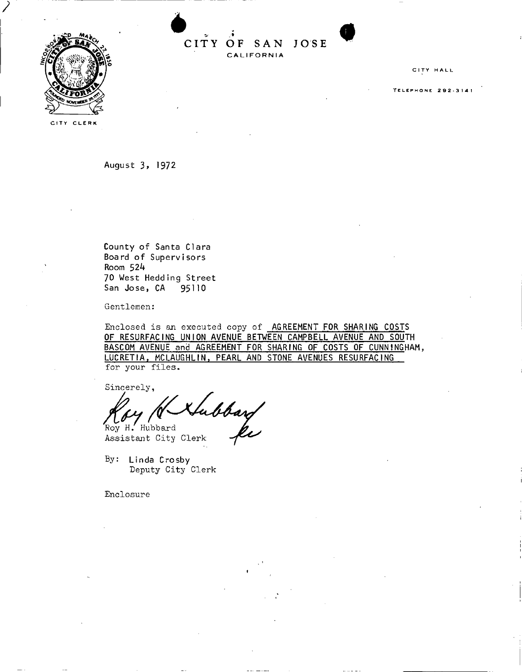

**CIT Y OF SA N JOS <sup>E</sup>**\* CALIFORNIA

**CITY HALL** 

**<sup>T</sup>** ELEPHON <sup>E</sup> **292-3141** 

**CITY CLERK** 

**August** *3 ,* **1972** 

**County o f Santa Clar a Board o f Supervisor s Room 524 70 West Hedding Stree t San Jose , CA 95110** 

Gentlemen:

Enclosed is an executed copy of **AGREEMENT FOR SHARING COSTS OF RESURFACING UNION AVENUE BETWEEN CAMPBELL AVENUE AND SOUTH BASCOM AVENUE and AGREEMENT FOR SHARING OF COSTS OF CUNNINGHAM, LUCRET1A, MCLAUGHLIN, PEARL AND STONE AVENUES RESURFACING**  for your files.

Sincerely,

'<br>bbarf<br>ki Roy H. Hubbard

Assistant City Clerk

By: **Linda Crosby**  Deputy City Clerk

Enclosure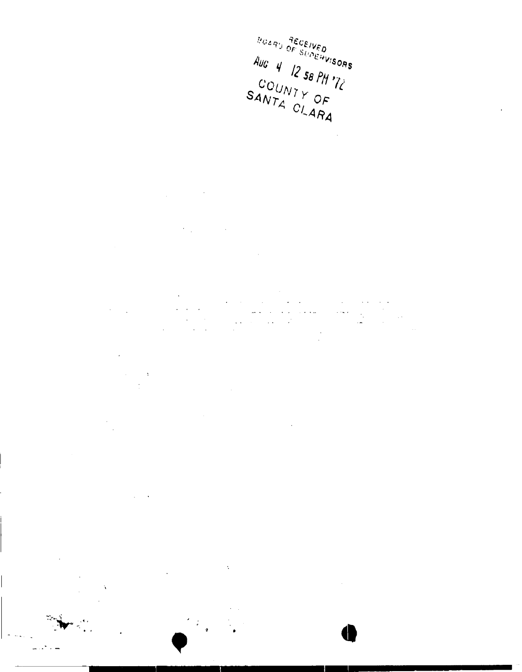BOARD RECEIVED Aug 4 12 58 PM  $\frac{1}{2}$ SANTA CLARA

 $\bar{\phi}$ 

 $\bar{\tau}$ 

 $\sim$   $\sim$  $\sim 100$  km  $^{-1}$  $\bar{z}$ 

l,  $\ddot{\phantom{a}}$ 

 $\ddot{\phantom{a}}$  $\chi$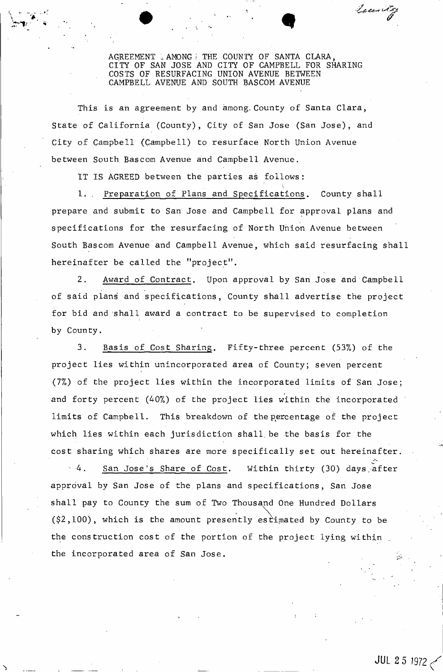AGREEMENT , AMONGi THE COUNTY OF SANTA CLARA, CITY OF SAN JOSE AND CITY OF CAMPBELL FOR SHARING COSTS OF RESURFACING UNION AVENUE BETWEEN CAMPBELL AVENUE AND SOUTH BASCOM AVENUE

Locality

This is an agreement by and among. County of Santa Clara, State of California (County), City of San Jose (San Jose), and City of Campbell (Campbell) to resurface North Union Avenue between South Bascom Avenue and Campbell Avenue.

IT IS AGREED between the parties as follows:

1. . Preparation of Plans and Specifications. County shall prepare and submit to San Jose and Campbell for approval plans and specifications for the resurfacing of North Union Avenue between South Bascom Avenue and Campbell Avenue, which said resurfacing shall hereinafter be called the "project".

2. Award of Contract. Upon approval by San Jose and Campbell of said plans and specifications, County shall advertise the project for bid and shall award a contract to be supervised to completion by County.

3. Basis of Cost Sharing. Fifty-three percent (53%) of the project lies within unincorporated area of County; seven percent (7%) of the project lies within the incorporated limits of San Jose; and forty percent (40%) of the project lies within the incorporated limits of Campbell. This breakdown of the percentage of the project which lies within each jurisdiction shall, be the basis for the cost sharing which shares are more specifically set out hereinafter.

 $-4$ . San Jose's Share of Cost. Within thirty (30) days after approval by San Jose of the plans and specifications, San Jose shall pay to County the sum of Two Thousand One Hundred Dollars the construction cost of the portion of the project lying within the incorporated area of San Jose.  $($ \$2,100), which is the amount presently estimated by County to be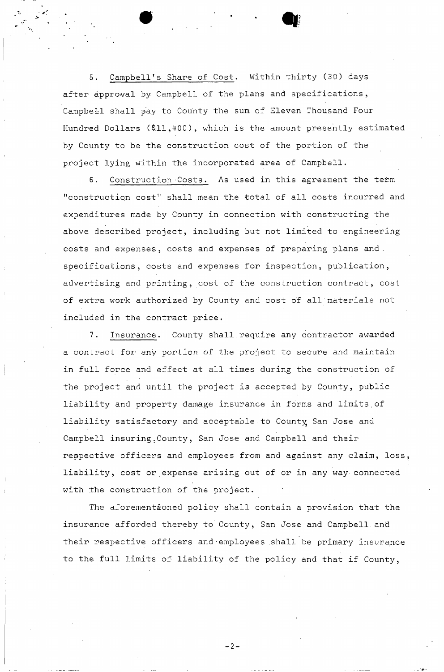5. Campbell's Share of Cost. Within thirty (30) days after approval by Campbell of the plans and specifications, Campbell shall pay to County the sum of Eleven Thousand Four Hundred Dollars (\$11,400), which is the amount presently estimated by County to be the construction cost of the portion of the project lying within the incorporated area of Campbell.

6. Construction 'Costs. As used in this agreement the term "construction cost" shall mean the total of all costs incurred and expenditures made by County in connection with constructing the above described project, including but not limited to engineering costs and expenses, costs and expenses of preparing plans and. specifications, costs and expenses for inspection, publication, advertising and printing, cost of the construction contract, cost of extra work authorized by County and cost of all'materials not included in the contract price.

7. Insurance. County shall require any contractor awarded a contract for any portion of the project to secure and maintain in full force and effect at all times during the construction of the project and until the project is accepted by County, public liability and property damage insurance in forms and limits.of liability satisfactory and acceptable to County San Jose and Campbell insuring;County, San Jose and Campbell and their respective officers and employees from and against any claim, loss, liability, cost or expense arising out of or in any way connected with the construction of the project.

The aforementioned policy shall contain a provision that the insurance afforded thereby to County, San Jose and Campbell and their respective officers and•employees .shall be primary insurance to the full limits of liability of the policy and that if County,

 $-2-$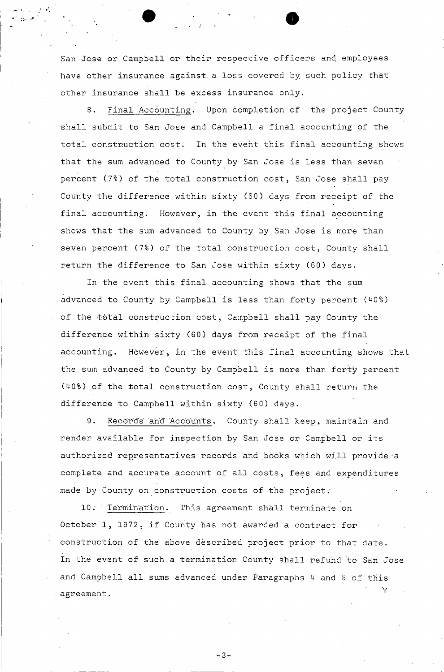San Jose or Campbell or their respective officers and employees have other insurance against, a loss covered by such policy that other insurance shall be excess insurance only.

8. Final Accounting, Upon completion of the project County shall submit to San Jose and Campbell a final accounting of the total construction cost. In the event this final accounting shows that the sum advanced to County by San Jose is less than seven percent (7%) of the total construction cost, San Jose shall pay County the difference within sixty (60) days'from receipt of the final accounting. However, in the event this final accounting shows that the sum advanced to County by San Jose is more than seven percent (7%) of the total construction cost, County shall return the difference to San Jose within sixty (60) days.

In the event this final accounting shows that the sum advanced to County by Campbell is less than forty percent (40%) of the total construction cost, Campbell shall pay County the difference within sixty (60) days from receipt of the final accounting. However, in the event this final accounting shows that the sum advanced to County by Campbell is more than forty percent (40%) of the total construction cost, County shall return the difference to Campbell within sixty (60) days.

9. Records and Accounts. County shall keep, maintain and render available for inspection by San Jose or Campbell or its authorized representatives records and books which will provide a complete and accurate.account of all costs, fees and expenditures .made by County on construction costs of the project;

10. Termination. This agreement shall terminate on October 1, 1972, if County has not awarded a contract for construction of the above described project prior to that date. In the event of such.a termination County shall refund to San Jose and Campbell all sums advanced under Paragraphs 4 and 5 of this • agreement.

 $-3-$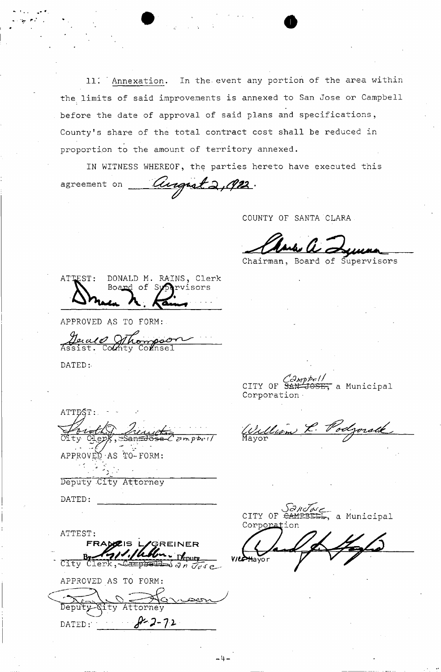*11". '* Annexation. In the- event any portion of the area within the limits of said improvements is annexed to San Jose or Campbell before the date of approval of said plans and specifications, County's share of the total contract cost shall be reduced in proportion to the amount of territory annexed.

IN WITNESS WHEREOF, the parties hereto have executed this agreement on *Cluignst 2, 192*.

COUNTY OF SANTA CLARA

Chairman, Board of Supervisors

ATTEST: DONALD M. RAINS, Clerk<br>Board of Sypervisors Board of Sy

APPROVED AS TO FORM

Assist. Co $\alpha$ hty Co $\alpha$ nsel

DATED:.

ATTEST *^Jhesisijigr&h,*   $Empbc1/$ 

APPROVED-AS TO-FORM:

Deputy -City Attorney

DATED:

ATTEST: **FRAW0C1S ly/GRE INE R**  tepnfy City Clerk, Campbel *<3 n a'o***'<r e-**APPROVED AS TO FORM:  $Q\sim$ Deputy-*Qity Attorney* DATED:  $8 - 2 - 72$ 

 $\frac{C \partial m p^{\phi e}}{C}$ CITY OF SAN-JOSE, a Municipal Corporation •

Mayor **Mayor** 

*GANJose*<br>CITY OF <del>CAMPBELL</del>, a Municipal Corporation

**VILLA** Mayor

-4-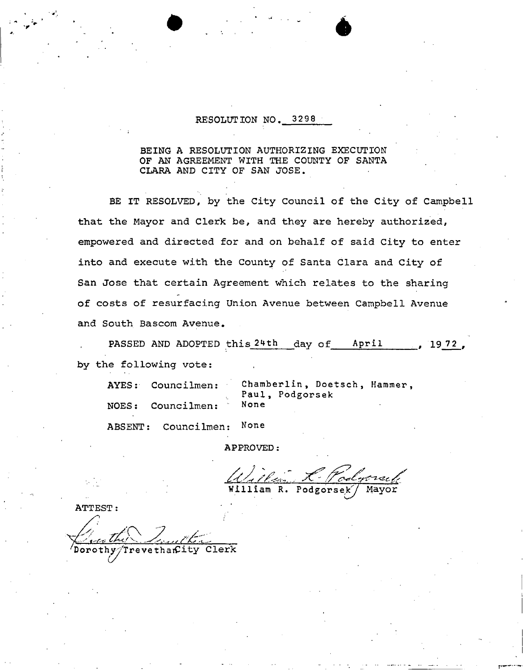## **RESOLUTION NO. 3298**

### **BEING A RESOLUTION AUTHORIZING EXECUTION OF AN AGREEMENT WITH THE COUNTY OF SANTA CLARA AND CITY OF SAN JOSE.**

**BE IT RESOLVED, by the City Council of the City of Campbell that the Mayor and Clerk be, and they are hereby authorized, empowered and directed for and on behalf of said City to enter into and execute with the County of Santa Clara and City of San Jose that certain Agreement which relates to the sharing of costs of resurfacing Union Avenue between Campbell Avenue and South Bascom Avenue.** 

PASSED AND ADOPTED this 24th day of April 1972, **by the following vote:** 

| AYES: Councilmen: | Chamberlin, Doetsch, Hammer,<br>Paul, Podgorsek |  |
|-------------------|-------------------------------------------------|--|
| NOES: Councilmen: | None                                            |  |

Councilmen: None ABSENT: **ABSENT: Councilmen: None** 

APPROVED:

William R. Podgorsek

**ATTEST:** revethantity Clerk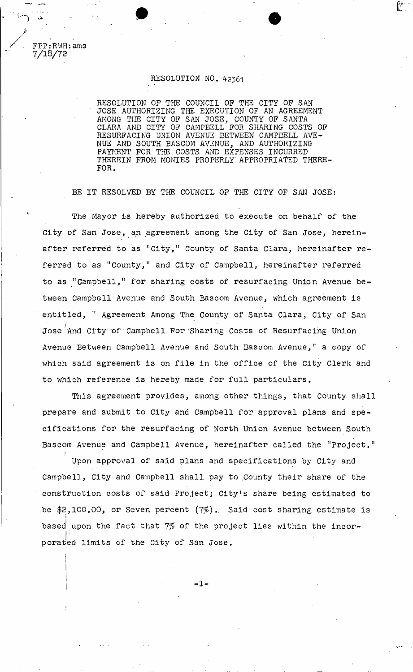## RESOLUTION NO. 42361

RESOLUTION OP THE COUNCIL OF THE CITY OF SAN JOSE AUTHORIZING THE EXECUTION OF AN AGREEMENT AMONG THE CITY OF SAN JOSE, COUNTY OF SANTA CLARA AND CITY OF CAMPBELL FOR SHARING COSTS OF RESURFACING UNION AVENUE BETWEEN CAMPEELL AVE-NUE AND SOUTH BASCOM AVENUE, AND AUTHORIZING PAYMENT FOR THE COSTS AND EXPENSES INCURRED THEREIN FROM MONIES PROPERLY' APPROPRIATED THERE-FOR.

 $\mathbb{C}$  .

BE IT RESOLVED BY THE COUNCIL OF THE CITY OF SAN JOSE:

The Mayor is hereby authorized to execute on behalf of the City of San Jose, an agreement among the City of San Jose, hereinafter referred to as "City," County of Santa Clara, hereinafter referred to as "County," and City of Campbell, hereinafter referred to as "Campbell," for sharing costs of resurfacing Union Avenue between Campbell Avenue and South Bascom Avenue, which agreement is entitled, " Agreement Among The County of Santa Clara, City of San Jose And City of Campbell For Sharing Costs of Resurfacing Union Avenue Between Campbell Avenue and South Bascom Avenue," a copy of which said agreement is on file in the office of the City Clerk and to which reference is hereby made for full particulars.

This agreement provides, among other things, that County shall prepare and submit to City and Campbell for approval plans and specifications for the resurfacing of North Union Avenue between South Bascom Avenue and Campbell Avenue, hereinafter called the "Project." **i** 

Upon approval of said plans and specifications by City and Campbell, City and Campbell shall pay to .County their share of the construction costs of said Project; City!s share being estimated to be  $$2,100.00$ , or Seven percent  $(7\%)$ . Said cost sharing estimate is based upon the fact that 7% of the project lies within the incorbased upon the fact that 7\$ of the project lies within the incor**l ;** 

-1-

porat'ed limits of the City of San Jose.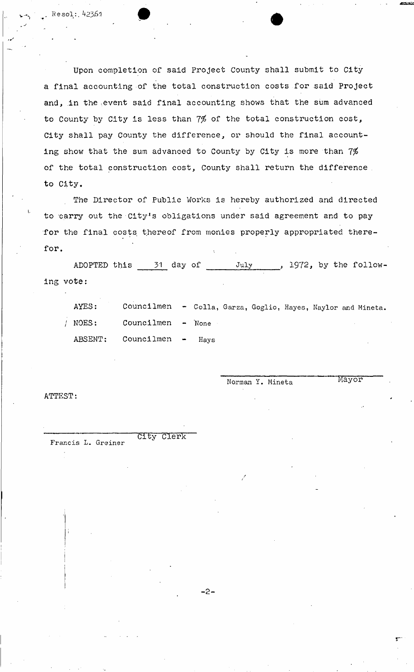Upon completion of said Project County shall submit to City a final accounting of the total construction costs for said Project and, in the event said final accounting shows that the sum advanced to County by City is less than  $7\%$  of the total construction cost, City shall pay County the difference, or should the final accounting show that the sum advanced to County by City is more than  $7\%$ of the total construction cost, County shall return the difference to City.

The Director of Public Works is hereby authorized and directed to carry out the City's obligations under said agreement and to pay for the final costs thereof from monies properly appropriated therefor.

ADOPTED this 31 day of July , 1972, by the following vote

AYES: Councilmen - Colla, Garza, Goglio, Hayes, Naylor and Mineta. / NOES: Councilmen - None ABSENT: Councilmen - Hays

ATTEST:

I

Francis L. Greiner

Norman Y. Mineta Mayor

City Clerk

 $-2-$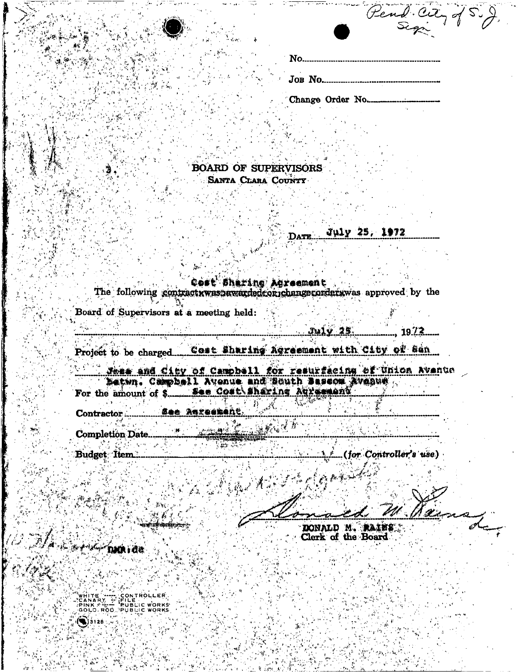|     | Fend Culy of S. |  |
|-----|-----------------|--|
| No. |                 |  |
|     |                 |  |

Change Order No.....

**BOARD OF SUPERVISORS** SANTA CLARA COUNTY

Cost Sharing Agreement The following contract was awarded correhange corder was approved by the

DATE.

Board of Supervisors at a meeting held:

 $, 19.22...$ 

July 25, 1972

Project to be charged......Cost Sharing Agreement with City of San

र क्षेत्र से

Roll College

See Asreener Contractor.

**Completion Date..** 

**Budget** Item.

ekstera en

(for Controller's use)

DONALD M. MAINS Clerk of the Board

**CARGA DARIQUE** 

aisiza.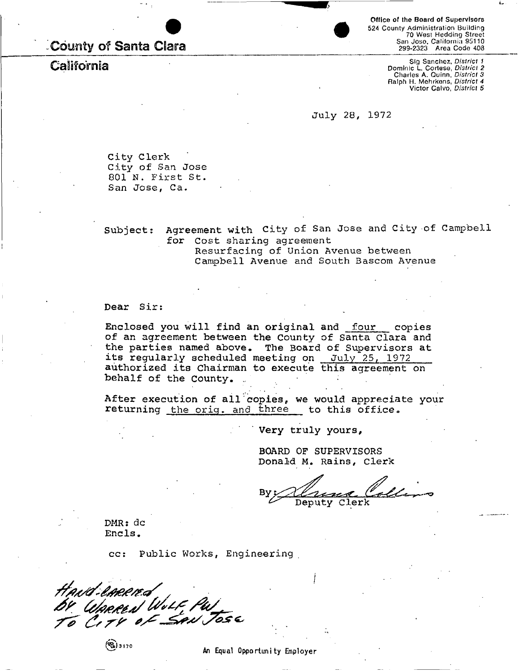# **-County of Santa Clara**

**Office of the Board of Supervisors**  524 County Administration Building 70 West Hedding Street San Joso, California 95110 299-2323 Area Code 408

**California** Sig Sanchez, *District 1*  Dominic L. Cortese, *District 2*  Charles A. Quinn, *District 3*  Ralph H. Mehrkons, *District 4*  Victor Calvo, *District 5* 

**July 28, 1972** 

**City Clerk City of San Jose 801 N. First St. San Jose, Ca.** 

**Subject: Agreement with City of San Jose and City of Campbell for Cost sharing agreement** 

> **Resurfacing of Union Avenue between Campbell Avenue and South Bascom Avenue**

**Dear Sir:** 

**Enclosed you will find an original and four copies of an agreement between the County of Santa Clara and the parties named above. The Board of Supervisors at its regularly scheduled meeting on July 25, 1972 authorized its Chairman to execute this agreement on**  behalf of the County.

**After execution of all copies, we would appreciate your**  returning the orig. and three to this office.

**Very truly yours,** 

**BOARD OF SUPERVISORS Donald M. Rains, Clerk** 

Deputy Clerk

**DMR: dc Ends .** 

**cc: Public Works, Engineering** 

Havd emerge *J \* S& S 7 \* '* 

**f%)3 170** An Equal Opportunity Employer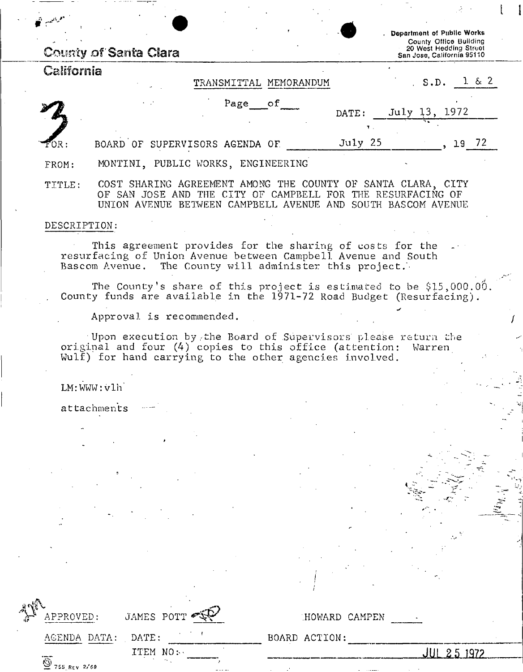|            | <b>County of Santa Clara</b>                                                                                                | Department of Public Works<br>County Office Building<br>20 West Hedding Street<br>San Jose, California 95110 |
|------------|-----------------------------------------------------------------------------------------------------------------------------|--------------------------------------------------------------------------------------------------------------|
| California | TRANSMITTAL MEMORANDUM                                                                                                      | $1 \& 2$<br>S.D.                                                                                             |
|            | Page of<br>$\mathbf{r}=\mathbf{r}^{\mathsf{T}}$                                                                             | July 13, 1972<br>DATE:                                                                                       |
| FOR :      | BOARD OF SUPERVISORS AGENDA OF                                                                                              | July 25<br>19 72                                                                                             |
| FROM:      | MONTINI, PUBLIC WORKS, ENGINEERING                                                                                          |                                                                                                              |
| TITLE:     | COST SHARING AGREEMENT AMONG THE COUNTY OF SANTA CLARA, CITY<br>OF SAN JOSE AND THE CITY OF CAMPBELL FOR THE RESURFACING OF |                                                                                                              |

#### DESCRIPTION:

This agreement provides for the sharing of costs for the resurfacing of Union Avenue between Campbell Avenue and South Bascom Avenue. The County will administer this project.

The County's share of this project is estimated to be  $$15,000.00$ . County funds are available in the 1971-72 Road Budget (Resurfacing).

UNION AVENUE BETWEEN CAMPBELL AVENUE AND SOUTH BASCOM AVENUE

Approval is recommended.

Upon execution by,the Board of Supervisors please return the original and four (4) copies to this office (attention: Warren Wulf) for hand carrying to the other agencies involved.

LM:WWW:vlh"

attachments

| APPROVED:          | JAMES POTT |  |
|--------------------|------------|--|
| AGENDA DATA: DATE: |            |  |
|                    | ITEM NO:   |  |
| 755 REV 2/69       |            |  |

BOARD ACTION:

.HOWARD CAMPEN

**JUL 2 5 197?**